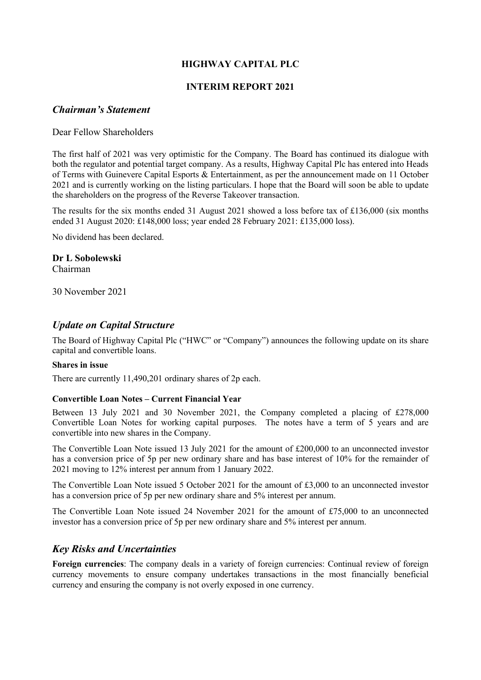# **HIGHWAY CAPITAL PLC**

# **INTERIM REPORT 2021**

# *Chairman's Statement*

Dear Fellow Shareholders

The first half of 2021 was very optimistic for the Company. The Board has continued its dialogue with both the regulator and potential target company. As a results, Highway Capital Plc has entered into Heads of Terms with Guinevere Capital Esports & Entertainment, as per the announcement made on 11 October 2021 and is currently working on the listing particulars. I hope that the Board will soon be able to update the shareholders on the progress of the Reverse Takeover transaction.

The results for the six months ended 31 August 2021 showed a loss before tax of £136,000 (six months ended 31 August 2020: £148,000 loss; year ended 28 February 2021: £135,000 loss).

No dividend has been declared.

### **Dr L Sobolewski**

Chairman

30 November 2021

# *Update on Capital Structure*

The Board of Highway Capital Plc ("HWC" or "Company") announces the following update on its share capital and convertible loans.

#### **Shares in issue**

There are currently 11,490,201 ordinary shares of 2p each.

#### **Convertible Loan Notes – Current Financial Year**

Between 13 July 2021 and 30 November 2021, the Company completed a placing of £278,000 Convertible Loan Notes for working capital purposes. The notes have a term of 5 years and are convertible into new shares in the Company.

The Convertible Loan Note issued 13 July 2021 for the amount of £200,000 to an unconnected investor has a conversion price of 5p per new ordinary share and has base interest of 10% for the remainder of 2021 moving to 12% interest per annum from 1 January 2022.

The Convertible Loan Note issued 5 October 2021 for the amount of £3,000 to an unconnected investor has a conversion price of 5p per new ordinary share and 5% interest per annum.

The Convertible Loan Note issued 24 November 2021 for the amount of £75,000 to an unconnected investor has a conversion price of 5p per new ordinary share and 5% interest per annum.

# *Key Risks and Uncertainties*

**Foreign currencies**: The company deals in a variety of foreign currencies: Continual review of foreign currency movements to ensure company undertakes transactions in the most financially beneficial currency and ensuring the company is not overly exposed in one currency.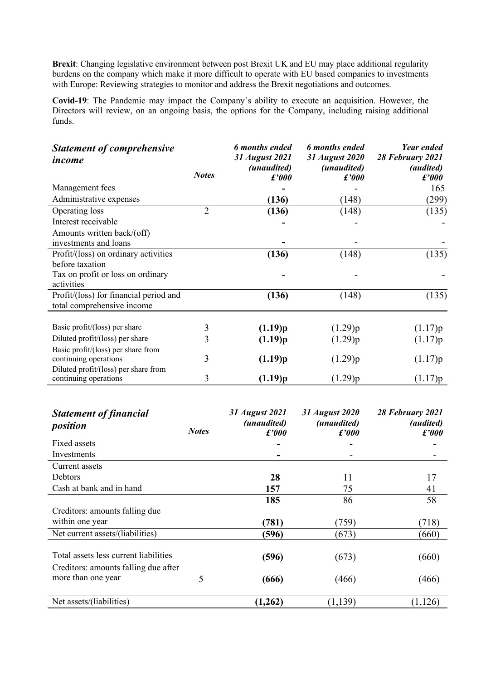**Brexit**: Changing legislative environment between post Brexit UK and EU may place additional regularity burdens on the company which make it more difficult to operate with EU based companies to investments with Europe: Reviewing strategies to monitor and address the Brexit negotiations and outcomes.

**Covid-19**: The Pandemic may impact the Company's ability to execute an acquisition. However, the Directors will review, on an ongoing basis, the options for the Company, including raising additional funds.

| <b>Statement of comprehensive</b><br>income                 |                | 6 months ended<br>31 August 2021 | 6 months ended<br>31 August 2020 | <b>Year ended</b><br>28 February 2021 |
|-------------------------------------------------------------|----------------|----------------------------------|----------------------------------|---------------------------------------|
|                                                             | <b>Notes</b>   | (unaudited)<br>f'000             | (unaudited)<br>f'000             | <i>(audited)</i><br>f'000             |
| Management fees                                             |                |                                  |                                  | 165                                   |
| Administrative expenses                                     |                | (136)                            | (148)                            | (299)                                 |
| Operating loss                                              | $\overline{2}$ | (136)                            | (148)                            | (135)                                 |
| Interest receivable                                         |                |                                  |                                  |                                       |
| Amounts written back/(off)                                  |                |                                  |                                  |                                       |
| investments and loans                                       |                |                                  |                                  |                                       |
| Profit/(loss) on ordinary activities                        |                | (136)                            | (148)                            | (135)                                 |
| before taxation                                             |                |                                  |                                  |                                       |
| Tax on profit or loss on ordinary                           |                |                                  |                                  |                                       |
| activities                                                  |                |                                  |                                  |                                       |
| Profit/(loss) for financial period and                      |                | (136)                            | (148)                            | (135)                                 |
| total comprehensive income                                  |                |                                  |                                  |                                       |
| Basic profit/(loss) per share                               | 3              | (1.19)p                          |                                  |                                       |
| Diluted profit/(loss) per share                             |                |                                  | (1.29)p                          | (1.17)p                               |
|                                                             | 3              | (1.19)p                          | (1.29)p                          | (1.17)p                               |
| Basic profit/(loss) per share from<br>continuing operations | 3              | (1.19)p                          | (1.29)p                          | (1.17)p                               |
| Diluted profit/(loss) per share from                        |                |                                  |                                  |                                       |
| continuing operations                                       | 3              | (1.19)p                          | (1.29)p                          | (1.17)p                               |
|                                                             |                |                                  |                                  |                                       |

| <b>Statement of financial</b><br>position                  | <b>Notes</b> | 31 August 2021<br><i>(unaudited)</i><br>f'000 | 31 August 2020<br><i>(unaudited)</i><br>f'000 | 28 February 2021<br><i>(audited)</i><br>f'000 |
|------------------------------------------------------------|--------------|-----------------------------------------------|-----------------------------------------------|-----------------------------------------------|
| Fixed assets                                               |              |                                               |                                               |                                               |
| Investments                                                |              |                                               |                                               |                                               |
| Current assets                                             |              |                                               |                                               |                                               |
| Debtors                                                    |              | 28                                            | 11                                            | 17                                            |
| Cash at bank and in hand                                   |              | 157                                           | 75                                            | 41                                            |
|                                                            |              | 185                                           | 86                                            | 58                                            |
| Creditors: amounts falling due                             |              |                                               |                                               |                                               |
| within one year                                            |              | (781)                                         | (759)                                         | (718)                                         |
| Net current assets/(liabilities)                           |              | (596)                                         | (673)                                         | (660)                                         |
| Total assets less current liabilities                      |              | (596)                                         | (673)                                         | (660)                                         |
| Creditors: amounts falling due after<br>more than one year | 5            | (666)                                         | (466)                                         | (466)                                         |
| Net assets/(liabilities)                                   |              | (1,262)                                       | (1, 139)                                      | (1, 126)                                      |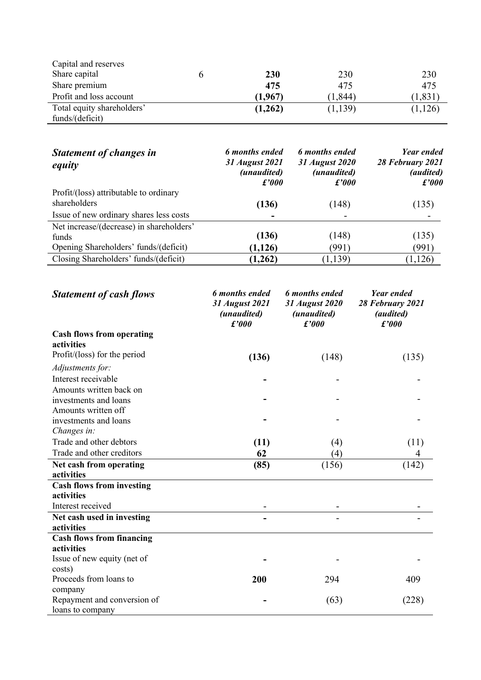| Capital and reserves       |         |          |         |
|----------------------------|---------|----------|---------|
| Share capital              | 230     | 230      | 230     |
| Share premium              | 475     | 475      | 475     |
| Profit and loss account    | (1.967) | (1, 844) | (1,831) |
| Total equity shareholders' | (1,262) | (1,139)  | (1,126) |
| funds/(deficit)            |         |          |         |

| <b>Statement of changes in</b><br>equity | 6 months ended<br>31 August 2021<br>(unaudited)<br>f'000 | 6 months ended<br>31 August 2020<br>(unaudited)<br>f'000 | <b>Year ended</b><br>28 February 2021<br><i>(audited)</i><br>f'000 |
|------------------------------------------|----------------------------------------------------------|----------------------------------------------------------|--------------------------------------------------------------------|
| Profit/(loss) attributable to ordinary   |                                                          |                                                          |                                                                    |
| shareholders                             | (136)                                                    | (148)                                                    | (135)                                                              |
| Issue of new ordinary shares less costs  |                                                          |                                                          |                                                                    |
| Net increase/(decrease) in shareholders' |                                                          |                                                          |                                                                    |
| funds                                    | (136)                                                    | (148)                                                    | (135)                                                              |
| Opening Shareholders' funds/(deficit)    | (1, 126)                                                 | (991)                                                    | (991)                                                              |
| Closing Shareholders' funds/(deficit)    | (1,262)                                                  | (1,139)                                                  | (1, 126)                                                           |

| <b>Statement of cash flows</b>         | <b>6</b> months ended<br>31 August 2021<br>(unaudited)<br>f'000 | <b>6</b> months ended<br>31 August 2020<br>(unaudited)<br>f'000 | Year ended<br>28 February 2021<br>(audited)<br>f'000 |
|----------------------------------------|-----------------------------------------------------------------|-----------------------------------------------------------------|------------------------------------------------------|
| <b>Cash flows from operating</b>       |                                                                 |                                                                 |                                                      |
| activities                             |                                                                 |                                                                 |                                                      |
| Profit/ $(\text{loss})$ for the period | (136)                                                           | (148)                                                           | (135)                                                |
| Adjustments for:                       |                                                                 |                                                                 |                                                      |
| Interest receivable                    |                                                                 |                                                                 |                                                      |
| Amounts written back on                |                                                                 |                                                                 |                                                      |
| investments and loans                  |                                                                 |                                                                 |                                                      |
| Amounts written off                    |                                                                 |                                                                 |                                                      |
| investments and loans                  |                                                                 |                                                                 |                                                      |
| Changes in:                            |                                                                 |                                                                 |                                                      |
| Trade and other debtors                | (11)                                                            | (4)                                                             | (11)                                                 |
| Trade and other creditors              | 62                                                              | (4)                                                             | 4                                                    |
| Net cash from operating                | (85)                                                            | (156)                                                           | (142)                                                |
| activities                             |                                                                 |                                                                 |                                                      |
| <b>Cash flows from investing</b>       |                                                                 |                                                                 |                                                      |
| activities                             |                                                                 |                                                                 |                                                      |
| Interest received                      |                                                                 |                                                                 |                                                      |
| Net cash used in investing             |                                                                 |                                                                 |                                                      |
| activities                             |                                                                 |                                                                 |                                                      |
| <b>Cash flows from financing</b>       |                                                                 |                                                                 |                                                      |
| activities                             |                                                                 |                                                                 |                                                      |
| Issue of new equity (net of            |                                                                 |                                                                 |                                                      |
| costs)                                 |                                                                 |                                                                 |                                                      |
| Proceeds from loans to                 | 200                                                             | 294                                                             | 409                                                  |
| company                                |                                                                 |                                                                 |                                                      |
| Repayment and conversion of            |                                                                 | (63)                                                            | (228)                                                |
| loans to company                       |                                                                 |                                                                 |                                                      |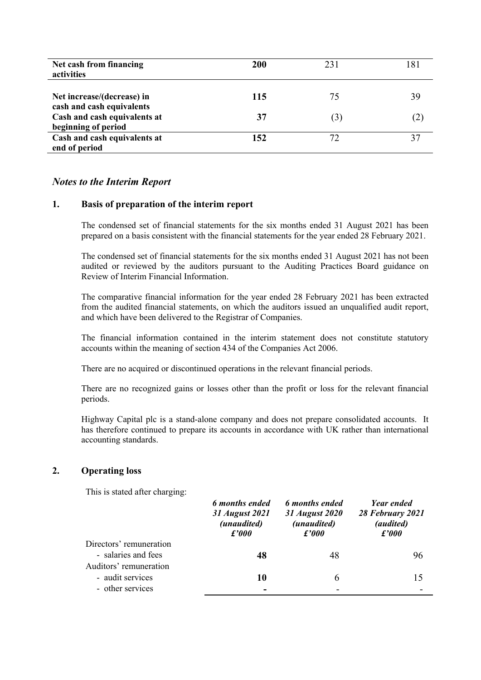| Net cash from financing<br>activities                   | 200 | 231 | 181 |
|---------------------------------------------------------|-----|-----|-----|
| Net increase/(decrease) in<br>cash and cash equivalents | 115 | 75  | 39  |
| Cash and cash equivalents at<br>beginning of period     | 37  | 3   | (2) |
| Cash and cash equivalents at<br>end of period           | 152 |     |     |

### *Notes to the Interim Report*

#### **1. Basis of preparation of the interim report**

The condensed set of financial statements for the six months ended 31 August 2021 has been prepared on a basis consistent with the financial statements for the year ended 28 February 2021.

The condensed set of financial statements for the six months ended 31 August 2021 has not been audited or reviewed by the auditors pursuant to the Auditing Practices Board guidance on Review of Interim Financial Information.

The comparative financial information for the year ended 28 February 2021 has been extracted from the audited financial statements, on which the auditors issued an unqualified audit report, and which have been delivered to the Registrar of Companies.

The financial information contained in the interim statement does not constitute statutory accounts within the meaning of section 434 of the Companies Act 2006.

There are no acquired or discontinued operations in the relevant financial periods.

There are no recognized gains or losses other than the profit or loss for the relevant financial periods.

Highway Capital plc is a stand-alone company and does not prepare consolidated accounts. It has therefore continued to prepare its accounts in accordance with UK rather than international accounting standards.

### **2. Operating loss**

This is stated after charging:

|                         | 6 months ended<br>31 August 2021<br>(unaudited)<br>f'000 | 6 months ended<br>31 August 2020<br>(unaudited)<br>$\pounds'000$ | Year ended<br>28 February 2021<br>(audited)<br>f'000 |
|-------------------------|----------------------------------------------------------|------------------------------------------------------------------|------------------------------------------------------|
| Directors' remuneration |                                                          |                                                                  |                                                      |
| - salaries and fees     | 48                                                       | 48                                                               | 96                                                   |
| Auditors' remuneration  |                                                          |                                                                  |                                                      |
| - audit services        | 10                                                       | 6                                                                | 15                                                   |
| - other services        | $\overline{\phantom{0}}$                                 |                                                                  |                                                      |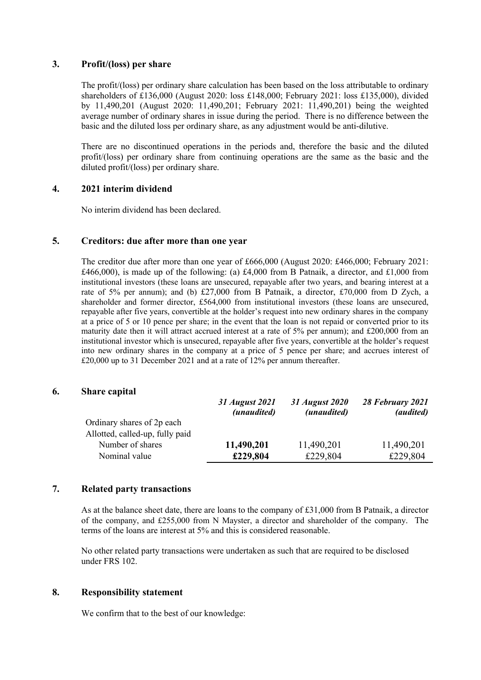## **3. Profit/(loss) per share**

The profit/(loss) per ordinary share calculation has been based on the loss attributable to ordinary shareholders of £136,000 (August 2020: loss £148,000; February 2021: loss £135,000), divided by 11,490,201 (August 2020: 11,490,201; February 2021: 11,490,201) being the weighted average number of ordinary shares in issue during the period. There is no difference between the basic and the diluted loss per ordinary share, as any adjustment would be anti-dilutive.

There are no discontinued operations in the periods and, therefore the basic and the diluted profit/(loss) per ordinary share from continuing operations are the same as the basic and the diluted profit/(loss) per ordinary share.

### **4. 2021 interim dividend**

No interim dividend has been declared.

#### **5. Creditors: due after more than one year**

The creditor due after more than one year of £666,000 (August 2020: £466,000; February 2021: £466,000), is made up of the following: (a) £4,000 from B Patnaik, a director, and £1,000 from institutional investors (these loans are unsecured, repayable after two years, and bearing interest at a rate of 5% per annum); and (b) £27,000 from B Patnaik, a director, £70,000 from D Zych, a shareholder and former director, £564,000 from institutional investors (these loans are unsecured, repayable after five years, convertible at the holder's request into new ordinary shares in the company at a price of 5 or 10 pence per share; in the event that the loan is not repaid or converted prior to its maturity date then it will attract accrued interest at a rate of 5% per annum); and £200,000 from an institutional investor which is unsecured, repayable after five years, convertible at the holder's request into new ordinary shares in the company at a price of 5 pence per share; and accrues interest of £20,000 up to 31 December 2021 and at a rate of 12% per annum thereafter.

#### **6. Share capital**

|                                 | 31 August 2021<br>(unaudited) | 31 August 2020<br>(unaudited) | 28 February 2021<br><i>(audited)</i> |
|---------------------------------|-------------------------------|-------------------------------|--------------------------------------|
| Ordinary shares of 2p each      |                               |                               |                                      |
| Allotted, called-up, fully paid |                               |                               |                                      |
| Number of shares                | 11,490,201                    | 11,490,201                    | 11,490,201                           |
| Nominal value                   | £229,804                      | £229,804                      | £229,804                             |

#### **7. Related party transactions**

As at the balance sheet date, there are loans to the company of £31,000 from B Patnaik, a director of the company, and £255,000 from N Mayster, a director and shareholder of the company. The terms of the loans are interest at 5% and this is considered reasonable.

No other related party transactions were undertaken as such that are required to be disclosed under FRS 102.

#### **8. Responsibility statement**

We confirm that to the best of our knowledge: